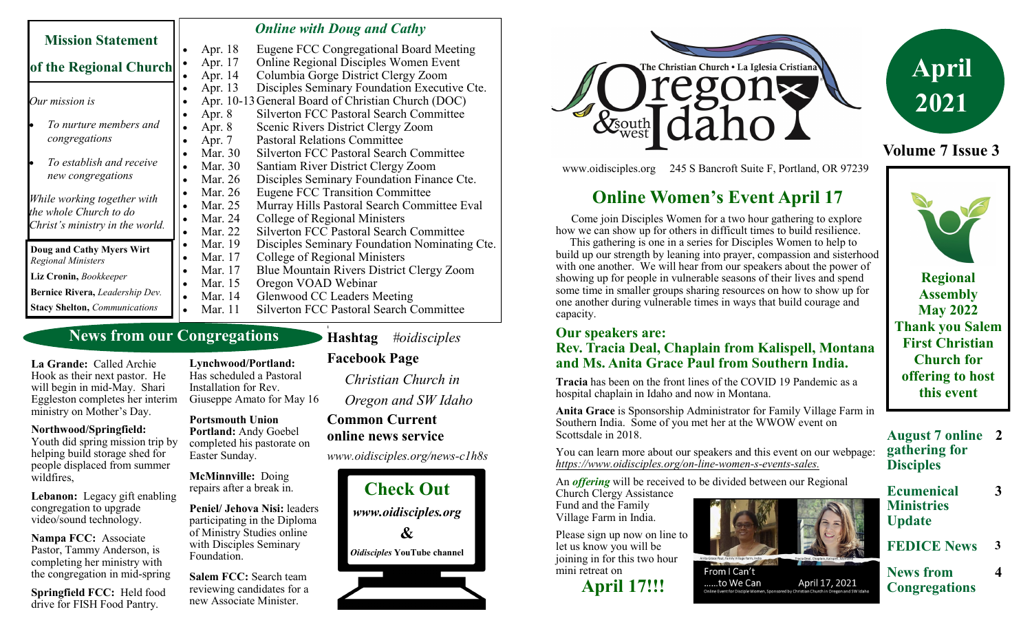| <b>Mission Statement</b>                                                                 | <b>Online with Doug and Cathy</b>                  |                                                |
|------------------------------------------------------------------------------------------|----------------------------------------------------|------------------------------------------------|
|                                                                                          | Apr. 18                                            | Eugene FCC Congregational Board Meeting        |
| of the Regional Church                                                                   | Apr. 17                                            | <b>Online Regional Disciples Women Event</b>   |
|                                                                                          | Apr. 14                                            | Columbia Gorge District Clergy Zoom            |
| Our mission is                                                                           | Apr. 13                                            | Disciples Seminary Foundation Executive Cte.   |
|                                                                                          | Apr. 10-13 General Board of Christian Church (DOC) |                                                |
|                                                                                          | Apr. 8                                             | <b>Silverton FCC Pastoral Search Committee</b> |
| To nurture members and                                                                   | Apr. 8                                             | Scenic Rivers District Clergy Zoom             |
| congregations                                                                            | Apr. 7                                             | <b>Pastoral Relations Committee</b>            |
|                                                                                          | Mar. 30                                            | <b>Silverton FCC Pastoral Search Committee</b> |
| To establish and receive                                                                 | Mar. 30                                            | Santiam River District Clergy Zoom             |
| new congregations                                                                        | Mar. 26                                            | Disciples Seminary Foundation Finance Cte.     |
| While working together with<br>the whole Church to do<br>Christ's ministry in the world. | Mar. 26                                            | <b>Eugene FCC Transition Committee</b>         |
|                                                                                          | Mar. 25                                            | Murray Hills Pastoral Search Committee Eval    |
|                                                                                          | Mar. 24                                            | College of Regional Ministers                  |
|                                                                                          | Mar. 22                                            | <b>Silverton FCC Pastoral Search Committee</b> |
| Doug and Cathy Myers Wirt                                                                | Mar. 19<br>$\bullet$                               | Disciples Seminary Foundation Nominating Cte.  |
| <b>Regional Ministers</b>                                                                | Mar. 17                                            | College of Regional Ministers                  |
| Liz Cronin, Bookkeeper                                                                   | Mar. 17                                            | Blue Mountain Rivers District Clergy Zoom      |
|                                                                                          | Mar. 15                                            | Oregon VOAD Webinar                            |
| Bernice Rivera, Leadership Dev.                                                          | Mar. 14                                            | <b>Glenwood CC Leaders Meeting</b>             |
| <b>Stacy Shelton, Communications</b>                                                     | Mar. 11                                            | <b>Silverton FCC Pastoral Search Committee</b> |

## **News from our Congregations**

**La Grande:** Called Archie Hook as their next pastor. He will begin in mid-May. Shari Eggleston completes her interim ministry on Mother's Day.

#### **Northwood/Springfield:**

Youth did spring mission trip by helping build storage shed for people displaced from summer wildfires,

**Lebanon:** Legacy gift enabling congregation to upgrade video/sound technology.

**Nampa FCC:** Associate Pastor, Tammy Anderson, is completing her ministry with the congregation in mid-spring

**Springfield FCC:** Held food drive for FISH Food Pantry.

**Lynchwood/Portland:**  Has scheduled a Pastoral Installation for Rev. Giuseppe Amato for May 16

**Portsmouth Union Portland:** Andy Goebel completed his pastorate on Easter Sunday.

**McMinnville:** Doing repairs after a break in.

**Peniel/ Jehova Nisi:** leaders participating in the Diploma of Ministry Studies online with Disciples Seminary Foundation.

**Salem FCC:** Search team reviewing candidates for a new Associate Minister.

**Facebook Page** *Christian Church in Oregon and SW Idaho*

**Hashtag** *#oidisciples*

**1**

# **Common Current online news service**

*www.oidisciples.org/news-c1h8s*





www.oidisciples.org 245 S Bancroft Suite F, Portland, OR 97239

# **Online Women's Event April 17**

 Come join Disciples Women for a two hour gathering to explore how we can show up for others in difficult times to build resilience.

 This gathering is one in a series for Disciples Women to help to build up our strength by leaning into prayer, compassion and sisterhood with one another. We will hear from our speakers about the power of showing up for people in vulnerable seasons of their lives and spend some time in smaller groups sharing resources on how to show up for one another during vulnerable times in ways that build courage and capacity.

#### **Our speakers are:**

#### **Rev. Tracia Deal, Chaplain from Kalispell, Montana and Ms. Anita Grace Paul from Southern India.**

**Tracia** has been on the front lines of the COVID 19 Pandemic as a hospital chaplain in Idaho and now in Montana.

**Anita Grace** is Sponsorship Administrator for Family Village Farm in Southern India. Some of you met her at the WWOW event on Scottsdale in 2018.

You can learn more about our speakers and this event on our webpage: *https://www.oidisciples.org/on-line-women-s-events-sales.*

An *offering* will be received to be divided between our Regional

Church Clergy Assistance Fund and the Family Village Farm in India.

Please sign up now on line to let us know you will be joining in for this two hour mini retreat on





From I Can't ......to We Can April 17, 2021

# **April 2021**

**Volume 7 Issue 3**



**Regional Assembly May 2022 Thank you Salem First Christian Church for offering to host this event**

**August 7 online 2 gathering for Disciples**

**3**

**4**

- **Ecumenical Ministries Update**
- **FEDICE News**

**News from Congregations**